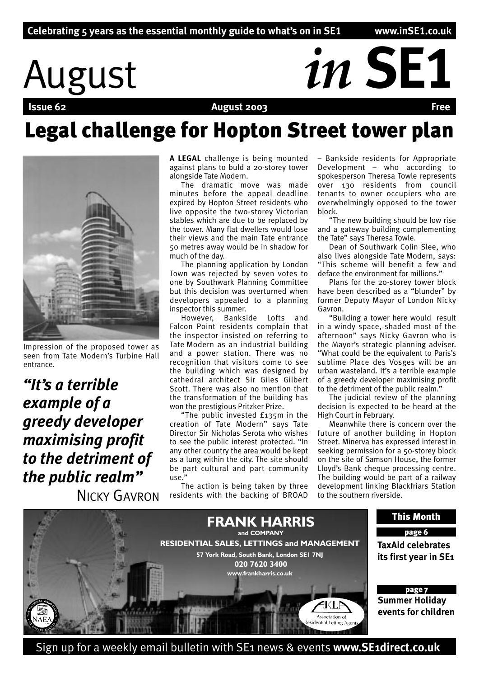# August *in* SE1

**August 2003** 

# Legal challenge for Hopton Street tower plan



Impression of the proposed tower as seen from Tate Modern's Turbine Hall entrance.

*"It's a terrible example of a greedy developer maximising profit to the detriment of the public realm"*

NICKY GAVRON

**A LEGAL** challenge is being mounted against plans to buld a 20-storey tower alongside Tate Modern.

The dramatic move was made minutes before the appeal deadline expired by Hopton Street residents who live opposite the two-storey Victorian stables which are due to be replaced by the tower. Many flat dwellers would lose their views and the main Tate entrance 50 metres away would be in shadow for much of the day.

The planning application by London Town was rejected by seven votes to one by Southwark Planning Committee but this decision was overturned when developers appealed to a planning inspector this summer.

However, Bankside Lofts and Falcon Point residents complain that the inspector insisted on referring to Tate Modern as an industrial building and a power station. There was no recognition that visitors come to see the building which was designed by cathedral architect Sir Giles Gilbert Scott. There was also no mention that the transformation of the building has won the prestigious Pritzker Prize.

"The public invested £135m in the creation of Tate Modern" says Tate Director Sir Nicholas Serota who wishes to see the public interest protected. "In any other country the area would be kept as a lung within the city. The site should be part cultural and part community use."

The action is being taken by three residents with the backing of BROAD – Bankside residents for Appropriate Development – who according to spokesperson Theresa Towle represents over 130 residents from council tenants to owner occupiers who are overwhelmingly opposed to the tower block.

"The new building should be low rise and a gateway building complementing the Tate" says Theresa Towle.

Dean of Southwark Colin Slee, who also lives alongside Tate Modern, says: "This scheme will benefit a few and deface the environment for millions."

Plans for the 20-storey tower block have been described as a "blunder" by former Deputy Mayor of London Nicky Gavron.

"Building a tower here would result in a windy space, shaded most of the afternoon" says Nicky Gavron who is the Mayor's strategic planning adviser. "What could be the equivalent to Paris's sublime Place des Vosges will be an urban wasteland. It's a terrible example of a greedy developer maximising profit to the detriment of the public realm.

The judicial review of the planning decision is expected to be heard at the High Court in February.

Meanwhile there is concern over the future of another building in Hopton Street. Minerva has expressed interest in seeking permission for a 50-storey block on the site of Samson House, the former Lloyd's Bank cheque processing centre. The building would be part of a railway development linking Blackfriars Station to the southern riverside.



Sign up for a weekly email bulletin with SE1 news & events **www.SE1direct.co.uk**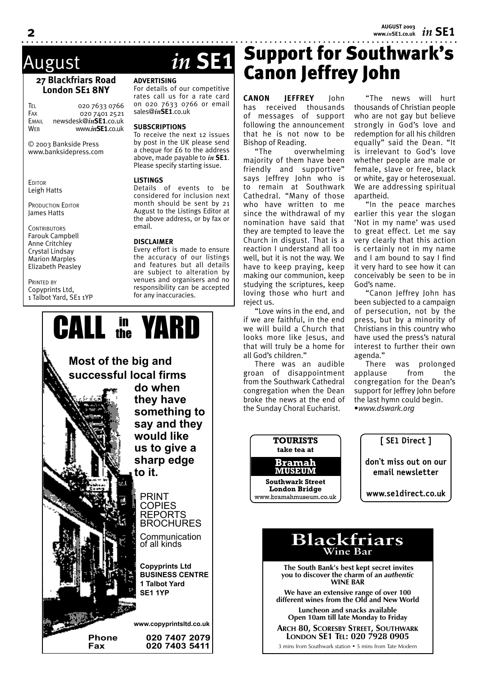#### **27 Blackfriars Road London SE1 8NY**

TEL 020 7633 0766 020 7401 2521 EMAIL newsdesk@*in***SE1**.co.uk WEB www.*in***SE1**.co.uk

© 2003 Bankside Press www.banksidepress.com

EDITOR Leigh Hatts

PRODUCTION EDITOR James Hatts

**CONTRIBUTORS** Farouk Campbell Anne Critchley Crystal Lindsay Marion Marples Elizabeth Peasley

PRINTED BY Copyprints Ltd, 1 Talbot Yard, SE1 1YP

# August *in* **SE1**

#### **ADVERTISING**

For details of our competitive rates call us for a rate card on 020 7633 0766 or email sales@*in***SE1**.co.uk

#### **SUBSCRIPTIONS**

To receive the next 12 issues by post in the UK please send a cheque for £6 to the address above, made payable to *in* **SE1**. Please specify starting issue.

#### **LISTINGS**

Details of events to be considered for inclusion next month should be sent by 21 August to the Listings Editor at the above address, or by fax or email.

#### **DISCLAIMER**

Every effort is made to ensure the accuracy of our listings and features but all details are subject to alteration by venues and organisers and no responsibility can be accepted for any inaccuracies.



# Support for Southwark's Canon Jeffrey John

**CANON JEFFREY** John has received thousands of messages of support following the announcement that he is not now to be Bishop of Reading.

"The overwhelming majority of them have been friendly and supportive" says Jeffrey John who is to remain at Southwark Cathedral. "Many of those who have written to me since the withdrawal of my nomination have said that they are tempted to leave the Church in disgust. That is a reaction I understand all too well, but it is not the way. We have to keep praying, keep making our communion, keep studying the scriptures, keep loving those who hurt and reject us.

"Love wins in the end, and if we are faithful, in the end we will build a Church that looks more like Jesus, and that will truly be a home for all God's children."

There was an audible groan of disappointment from the Southwark Cathedral congregation when the Dean broke the news at the end of the Sunday Choral Eucharist.

"The news will hurt thousands of Christian people who are not gay but believe strongly in God's love and redemption for all his children equally" said the Dean. "It is irrelevant to God's love whether people are male or female, slave or free, black or white, gay or heterosexual. We are addressing spiritual apartheid.

"In the peace marches earlier this year the slogan 'Not in my name' was used to great effect. Let me say very clearly that this action is certainly not in my name and I am bound to say I find it very hard to see how it can conceivably be seen to be in God's name.

"Canon Jeffrey John has been subjected to a campaign of persecution, not by the press, but by a minority of Christians in this country who have used the press's natural interest to further their own agenda."

There was prolonged applause from the congregation for the Dean's support for Jeffrey John before the last hymn could begin. •*www.dswark.org*



 **The South Bank's best kept secret invites you to discover the charm of an** *authentic* **WINE BAR**

**Wine Bar**

**We have an extensive range of over 100 different wines from the Old and New World**

**Luncheon and snacks available Open 10am till late Monday to Friday**

**ARCH 80, SCORESBY STREET, SOUTHWARK LONDON SE1 TEL: 020 7928 0905**

3 mins from Southwark station • 5 mins from Tate Modern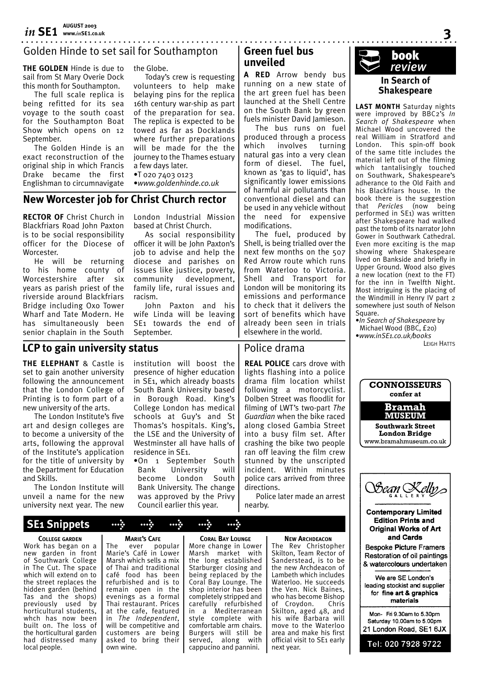# $in$  **SE1**  $\frac{\text{AUGUST 2003}}{\text{www.}inSE1.co.uk}$

#### . . . . . . . . . . . . . . . . . Golden Hinde to set sail for Southampton

**THE GOLDEN** Hinde is due to sail from St Mary Overie Dock this month for Southampton.

The full scale replica is being refitted for its sea voyage to the south coast for the Southampton Boat Show which opens on 12 September.

The Golden Hinde is an exact reconstruction of the original ship in which Francis Drake became the first Englishman to circumnavigate

the Globe.

Today's crew is requesting volunteers to help make belaying pins for the replica 16th century war-ship as part of the preparation for sea. The replica is expected to be towed as far as Docklands where further preparations will be made for the the journey to the Thames estuary a few days later.

- •T 020 7403 0123
- •*www.goldenhinde.co.uk*

### **New Worcester job for Christ Church rector**

**RECTOR OF** Christ Church in Blackfriars Road John Paxton is to be social responsibility officer for the Diocese of Worcester.

He will be returning to his home county of Worcestershire after six years as parish priest of the riverside around Blackfriars Bridge including Oxo Tower Wharf and Tate Modern. He has simultaneously been senior chaplain in the South

**THE ELEPHANT** & Castle is set to gain another university following the announcement that the London College of Printing is to form part of a new university of the arts. The London Institute's five art and design colleges are to become a university of the arts, following the approval of the Institute's application for the title of university by the Department for Education

**LCP to gain university status**

London Industrial Mission based at Christ Church.

As social responsibility officer it will be John Paxton's job to advise and help the diocese and parishes on issues like justice, poverty, community development, family life, rural issues and racism.

John Paxton and his wife Linda will be leaving SE1 towards the end of September.

institution will boost the presence of higher education in SE1, which already boasts South Bank University based in Borough Road. King's College London has medical schools at Guy's and St Thomas's hospitals. King's, the LSE and the University of Westminster all have halls of

•On 1 September South Bank University will become London South Bank University. The change was approved by the Privy Council earlier this year.

residence in SE1.

# **Green fuel bus unveiled**

**A RED** Arrow bendy bus running on a new state of the art green fuel has been launched at the Shell Centre on the South Bank by green fuels minister David Jamieson.

The bus runs on fuel produced through a process which involves turning natural gas into a very clean form of diesel. The fuel, known as 'gas to liquid', has significantly lower emissions of harmful air pollutants than conventional diesel and can be used in any vehicle without the need for expensive modifications.

The fuel, produced by Shell, is being trialled over the next few months on the 507 Red Arrow route which runs from Waterloo to Victoria. Shell and Transport for London will be monitoring its emissions and performance to check that it delivers the sort of benefits which have already been seen in trials elsewhere in the world.

# Police drama

**REAL POLICE** cars drove with lights flashing into a police drama film location whilst following a motorcyclist. Dolben Street was floodlit for filming of LWT's two-part *The Guardian* when the bike raced along closed Gambia Street into a busy film set. After crashing the bike two people ran off leaving the film crew stunned by the unscripted incident. Within minutes police cars arrived from three directions.

Police later made an arrest nearby.

# **SE1 Snippets > > > > >**

The London Institute will unveil a name for the new university next year. The new

and Skills.

#### **COLLEGE GARDEN**

Work has began on a new garden in front of Southwark College in The Cut. The space which will extend on to the street replaces the hidden garden (behind Tas and the shops) previously used by horticultural students, whch has now been built on. The loss of the horticultural garden had distressed many local people.

**MARIE'S CAFE** The ever popular Marie's Café in Lower Marsh which sells a mix of Thai and traditional café food has been refurbished and is to remain open in the evenings as a formal Thai restaurant. Prices at the cafe, featured in *The Independent*, will be competitive and customers are being asked to bring their own wine.

#### **CORAL BAY LOUNGE**

More change in Lower Marsh market with the long established Starburger closing and being replaced by the Coral Bay Lounge. The shop interior has been completely stripped and carefully refurbished in a Mediterranean style complete with comfortable arm chairs. Burgers will still be served, along with cappucino and pannini.

**NEW ARCHDEACON**

The Rev Christopher Skilton, Team Rector of Sanderstead, is to be the new Archdeacon of Lambeth which includes Waterloo. He succeeds the Ven. Nick Baines, who has become Bishop<br>of Croydon. Chris of Croydon. Skilton, aged 48, and his wife Barbara will move to the Waterloo area and make his first official visit to SE1 early next year.



**LAST MONTH** Saturday nights were improved by BBC2's *In Search of Shakespeare* when Michael Wood uncovered the real William in Stratford and London. This spin-off book of the same title includes the material left out of the filming which tantalisingly touched on Southwark, Shakespeare's adherance to the Old Faith and his Blackfriars house. In the book there is the suggestion that *Pericles* (now being performed in SE1) was written after Shakespeare had walked past the tomb of its narrator John Gower in Southwark Cathedral. Even more exciting is the map showing where Shakespeare lived on Bankside and briefly in Upper Ground. Wood also gives a new location (next to the FT) for the inn in Twelfth Night. Most intriguing is the placing of the Windmill in Henry IV part 2 somewhere just south of Nelson Square.

•*In Search of Shakespeare* by Michael Wood (BBC, £20)

•*www.inSE1.co.uk/books*

LEIGH HATTS



We are SE London's leading stockist and supplier for fine art & graphics materials

Mon- Fri 9.30am to 5.30pm Saturday 10.00am to 5.00pm 21 London Road, SE1 6JX

Tel: 020 7928 9722

**3**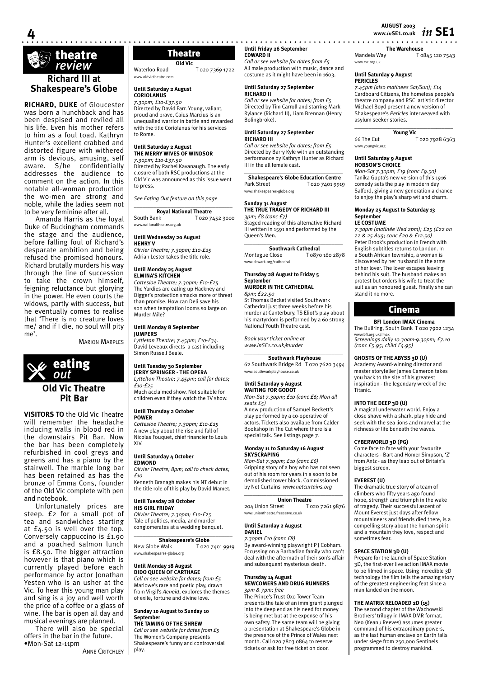*in* **SE1 AUGUST 2003 www.***in***SE1.co.uk**



#### www.rsc.org.uk **Until Saturday 9 August**

#### **PERICLES**

*7.45pm (also matinees Sat/Sun); £14* Cardboard Citizens, the homeless people's theatre company and RSC artistic director Michael Boyd present a new version of Shakespeare's *Pericles* interweaved with asylum seeker stories.

\_\_\_\_\_\_\_\_\_\_\_\_\_\_\_\_\_\_\_\_\_\_\_\_\_\_\_\_\_\_\_\_\_\_\_

**Young Vic** 66 The Cut T 020 7928 6363 www.youngvic.org

#### **Until Saturday 9 August HOBSON'S CHOICE**

*Mon-Sat 7.30pm; £19 (conc £9.50)* Tanika Gupta's new version of this 1916 comedy sets the play in modern day Salford, giving a new generation a chance to enjoy the play's sharp wit and charm.

#### **Monday 25 August to Saturday 13**  September **LE COSTUME**

*7.30pm (matinée Wed 2pm); £25 (£22 on 22 & 25 Aug; conc £20 & £12.50)*  Peter Brook's production in French with English subtitles returns to London. In a South African township, a woman is discovered by her husband in the arms of her lover. The lover escapes leaving behind his suit. The husband makes no protest but orders his wife to treat the suit as an honoured guest. Finally she can stand it no more.

#### **Cinema**

#### **BFI London IMAX Cinema**

The Bullring, South Bank T 020 7902 1234 www.bfi.org.uk/imax *Screenings daily 10.30am-9.30pm; £7.10 (conc £5.95; child £4.95)*

#### **GHOSTS OF THE ABYSS 3D (U)**

Academy Award-winning director and master storyteller James Cameron takes you back to the site of his greatest inspiration - the legendary wreck of the Titanic.

#### **INTO THE DEEP 3D (U)**

A magical underwater world. Enjoy a close shave with a shark, play hide and seek with the sea lions and marvel at the richness of life beneath the waves.

#### **CYBERWORLD 3D (PG)**

Come face to face with your favourite characters - Bart and Homer Simpson, 'Z' from Antz - as they leap out of Britain's biggest screen.

#### **EVEREST (U)**

The dramatic true story of a team of climbers who fifty years ago found hope, strength and triumph in the wake of tragedy. Their successful ascent of Mount Everest just days after fellow mountaineers and friends died there, is a compelling story about the human spirit and a mountain they love, respect and sometimes fear.

#### **SPACE STATION 3D (U)**

Prepare for the launch of Space Station 3D, the first-ever live action IMAX movie to be filmed in space. Using incredible 3D technology the film tells the amazing story of the greatest engineering feat since a man landed on the moon.

#### **THE MATRIX RELOADED 2D (15)**

The second chapter of the Wachowski Brothers' trilogy in IMAX DMR format. Neo (Keanu Reeves) assumes greater command of his extraordinary powers, as the last human enclave on Earth falls under siege from 250,000 Sentinels programmed to destroy mankind.

# **theatre Richard III at**

**4**

# **Shakespeare's Globe**

**RICHARD, DUKE** of Gloucester was born a hunchback and has been despised and reviled all his life. Even his mother refers to him as a foul toad. Kathryn Hunter's excellent crabbed and distorted figure with withered arm is devious, amusing, self aware. S/he confidentially addresses the audience to comment on the action. In this notable all-woman production the wo-men are strong and noble, while the ladies seem not to be very feminine after all.

Amanda Harris as the loyal Duke of Buckingham commands the stage and the audience, before falling foul of Richard's desparate ambition and being refused the promised honours. Richard brutally murders his way through the line of succession to take the crown himself, feigning reluctance but glorying in the power. He even courts the widows, partly with success, but he eventually comes to realise that 'There is no creature loves me/ and if I die, no soul will pity me'.

MARION MARPLES



**VISITORS TO** the Old Vic Theatre will remember the headache inducing walls in blood red in the downstairs Pit Bar. Now the bar has been completely refurbished in cool greys and greens and has a piano by the stairwell. The marble long bar has been retained as has the bronze of Emma Cons, founder of the Old Vic complete with pen and notebook.

Unfortunately prices are steep. £2 for a small pot of tea and sandwiches starting at  $f_4$ , so is well over the top. Conversely cappuccino is £1.90 and a poached salmon lunch is £8.50. The bigger attraction however is that piano which is currently played before each performance by actor Jonathan Yesten who is an usher at the Vic. To hear this young man play and sing is a joy and well worth the price of a coffee or a glass of wine. The bar is open all day and musical evenings are planned.

There will also be special offers in the bar in the future. •Mon-Sat 12-11pm

**ANNE CRITCHLEY** 

# Theatre

**Old Vic** Waterloo Road T 020 7369 1722 www.oldvictheatre.co

**Until Saturday 2 August CORIOLANUS**

*7.30pm; £10-£37.50* Directed by David Farr. Young, valiant, proud and brave, Caius Marcius is an unequalled warrior in battle and rewarded with the title Coriolanus for his services to Rome.

#### **Until Saturday 2 August THE MERRY WIVES OF WINDSOR**

*7.30pm; £10-£37.50* Directed by Rachel Kavanaugh. The early closure of both RSC productions at the Old Vic was announced as this issue went to press.

*See Eating Out feature on this page*

 $\overline{\phantom{a}}$  , and the set of the set of the set of the set of the set of the set of the set of the set of the set of the set of the set of the set of the set of the set of the set of the set of the set of the set of the s **Royal National Theatre**<br>F 020.7 T 020 7452 3000 www.nationaltheatre.org.uk

#### **Until Wednesday 20 August**

**HENRY V** *Olivier Theatre; 7.30pm; £10-£25* Adrian Lester takes the title role.

#### **Until Monday 25 August ELMINA'S KITCHEN**

*Cottesloe Theatre; 7.30pm; £10-£25* The Yardies are eating up Hackney and Digger's protection smacks more of threat than promise. How can Deli save his son when temptation looms so large on Murder Mile?

#### **Until Monday 8 September JUMPERS**

*Lyttleton Theatre; 7.45pm; £10-£34.* David Leveaux directs a cast including Simon Russell Beale.

#### **Until Tuesday 30 September**

**JERRY SPRINGER - THE OPERA** *Lyttelton Theatre; 7.45pm; call for dates; £10-£25* Much acclaimed show. Not suitable for

children even if they watch the TV show.

#### **Until Thursday 2 October**

**POWER** *Cottesloe Theatre; 7.30pm; £10-£25* A new play about the rise and fall of Nicolas Fouquet, chief financier to Louis XIV.

#### **Until Saturday 4 October**

**EDMOND** *Olivier Theatre; 8pm; call to check dates; £10*

Kenneth Branagh makes his NT debut in the title role of this play by David Mamet.

#### **Until Tuesday 28 October**

**HIS GIRL FRIDAY** *Olivier Theatre; 7.30pm; £10-£25* Tale of politics, media, and murder conglomerates at a wedding banquet.

### $\overline{\phantom{a}}$  , and the set of the set of the set of the set of the set of the set of the set of the set of the set of the set of the set of the set of the set of the set of the set of the set of the set of the set of the s

**Shakespeare's Globe**<br>New Globe Walk To20 T 020 7401 9919 www.shakespeares-globe.org

# **Until Monday 18 August DIDO QUEEN OF CARTHAGE**

*Call or see website for dates; from £5* Marlowe's rare and poetic play, drawn from Virgil's *Aeneid*, explores the themes of exile, fortune and divine love.

#### **Sunday 10 August to Sunday 10 September**

**THE TAMING OF THE SHREW**

*Call or see website for dates from £5* The Women's Company presents Shakespeare's funny and controversial play.

special talk. See listings page 7. **Monday 11 to Saturday 16 August SKYSCRAPING** *Mon-Sat 7.30pm; £10 (conc £6)*

**Until Friday 26 September**

**Until Saturday 27 September**

**Until Saturday 27 September**

III in the all female cast.

www.shakespeares-globe.org **Sunday 31 August**

*3pm; £8 (conc £7)*

www.dswark.org/cathedral

**Thursday 28 August to Friday 5** 

St Thomas Becket visited Southwark Cathedral just three weeks before his murder at Canterbury. TS Eliot's play about his martyrdom is performed by a 60 strong

 $\overline{\phantom{a}}$  , and the set of the set of the set of the set of the set of the set of the set of the set of the set of the set of the set of the set of the set of the set of the set of the set of the set of the set of the s **Southwark Playhouse** 62 Southwark Bridge Rd T 020 7620 3494

*Mon-Sat 7.30pm; £10 (conc £6; Mon all* 

A new production of Samuel Beckett's play performed by a co-operative of actors. Tickets also availabe from Calder Bookshop in The Cut where there is a

**MURDER IN THE CATHEDRAL**

National Youth Theatre cast. *Book your ticket online at www.inSE1.co.uk/murder*

www.southwarkplayhouse.co.uk **Until Saturday 9 August WAITING FOR GODOT**

*seats £5)*

Queen's Men.

**September**

*8pm; £22.50*

*Call or see website for dates from £5* All male production with music, dance and costume as it might have been in 1603.

*Call or see website for dates; from £5* Directed by Tim Carroll and starring Mark Rylance (Richard II), Liam Brennan (Henry

*Call or see website for dates; from £5* Directed by Barry Kyle with an outstanding performance by Kathryn Hunter as Richard

 $\overline{\phantom{a}}$  , and the set of the set of the set of the set of the set of the set of the set of the set of the set of the set of the set of the set of the set of the set of the set of the set of the set of the set of the s **Shakespeare's Globe Education Centre**<br>Park Street T020 7401 991

**THE TRUE TRAGEDY OF RICHARD III**

Staged reading of this alternative Richard III written in 1591 and performed by the

 $\overline{\phantom{a}}$  , and the set of the set of the set of the set of the set of the set of the set of the set of the set of the set of the set of the set of the set of the set of the set of the set of the set of the set of the s **Southwark Cathedral** Montague Close T 0870 160 2878

T 020 7401 9919

**EDWARD II**

**RICHARD II**

Bolingbroke).

**RICHARD III**

Gripping story of a boy who has not seen out of his room for years in a soon to be demolished tower block. Commissioned by Net Curtains *www.netcurtains.org*  $\overline{\phantom{a}}$  , and the set of the set of the set of the set of the set of the set of the set of the set of the set of the set of the set of the set of the set of the set of the set of the set of the set of the set of the s

#### **Union Theatre**<br>reet T 020 7261 9876 204 Union Street

www.uniontheatre.freeserve.co.uk

#### **Until Saturday 2 August DANIEL**

*7.30pm £10 (conc £8)* By award-winning playwright P J Cobham. Focussing on a Barbadian family who can't deal with the aftermath of their son's affair and subsequent mysterious death.

#### **Thursday 14 August NEWCOMERS AND DRUG RUNNERS** *3pm & 7pm; free*

The Prince's Trust Oxo Tower Team presents the tale of an immigrant plunged into the deep end as his need for money is being met but at the expense of his own safety. The same team will be giving a presentation at Shakespeare's Globe in the presence of the Prince of Wales next month. Call 020 7803 0864 to reserve tickets or ask for free ticket on door.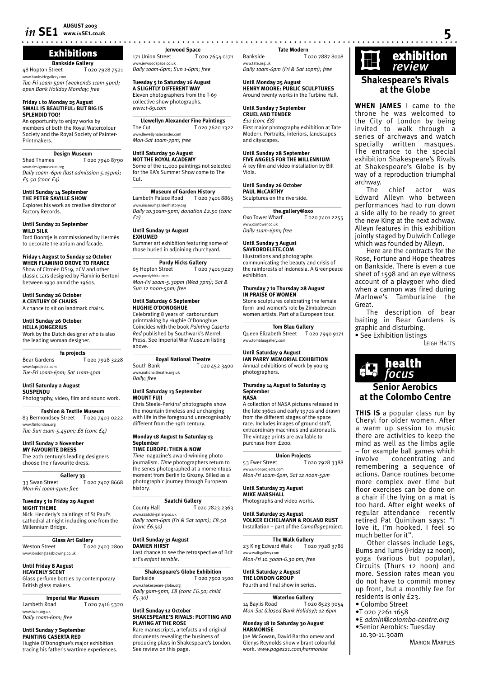### Exhibitions

**Bankside Gallery**<br>Street T 020 7928 7521 48 Hopton Street idegallery.com

*Tue-Fri 10am-5pm (weekends 11am-5pm); open Bank Holiday Monday; free* 

**Friday 1 to Monday 25 August SMALL IS BEAUTIFUL: BUT BIG IS SPLENDID TOO!**

An opportunity to enjoy works by members of both the Royal Watercolour Society and the Royal Society of Painter-Printmakers.  $\overline{\phantom{a}}$  , where  $\overline{\phantom{a}}$  , where  $\overline{\phantom{a}}$  ,  $\overline{\phantom{a}}$  ,  $\overline{\phantom{a}}$  ,  $\overline{\phantom{a}}$  ,  $\overline{\phantom{a}}$  ,  $\overline{\phantom{a}}$  ,  $\overline{\phantom{a}}$  ,  $\overline{\phantom{a}}$  ,  $\overline{\phantom{a}}$  ,  $\overline{\phantom{a}}$  ,  $\overline{\phantom{a}}$  ,  $\overline{\phantom{a}}$  ,  $\overline{\phantom{a}}$  ,

**Design Museum**<br>Shad Thames To<sub>2</sub> T 020 7940 8790 www.designmuseum.org *Daily 10am -6pm (last admission 5.15pm); £5.50 (conc £4)*

#### **Until Sunday 14 September**

**THE PETER SAVILLE SHOW** Explores his work as creative director of Factory Records.

**Until Sunday 21 September WILD SILK** Tord Boontje is commissioned by Hermès to decorate the atrium and facade.

**Friday 1 August to Sunday 12 October WHEN FLAMINIO DROVE TO FRANCE** Show of Citroën DS19, 2CV and other

classic cars designed by Flaminio Bertoni between 1930 anmd the 1960s.

**Until Sunday 26 October A CENTURY OF CHAIRS** A chance to sit on landmark chairs.

#### **Until Sunday 26 October HELLA JONGERIUS**

Work by the Dutch designer who is also the leading woman designer. \_\_\_\_\_\_\_\_\_\_\_\_\_\_\_\_\_\_\_\_\_\_\_\_\_\_\_\_\_\_\_\_\_\_\_

**fa projects** Bear Gardens T 020 7928 3228 www.faprojects.com *Tue-Fri 10am-6pm; Sat 11am-4pm*

#### **Until Saturday 2 August SUSPENDU**

Photography, video, film and sound work. \_\_\_\_\_\_\_\_\_\_\_\_\_\_\_\_\_\_\_\_\_\_\_\_\_\_\_\_\_\_\_\_\_\_\_

**Fashion & Textile Museum** 83 Bermondsey Street T 020 7403 0222

www.ftmlondon.org *Tue-Sun 11am-5.45pm; £6 (conc £4)*

#### **Until Sunday 2 November MY FAVOURITE DRESS**

The 20th century's leading designers choose their favourite dress.

\_\_\_\_\_\_\_\_\_\_\_\_\_\_\_\_\_\_\_\_\_\_\_\_\_\_\_\_\_\_\_\_\_\_\_

**Gallery 33**<br>
T 020 7407 8668 33 Swan Street *Mon-Fri 10am-5pm; free*

**Tuesday 5 to Friday 29 August NIGHT THEME**

Nick Hedderly's paintings of St Paul's cathedral at night including one from the Millennium Bridge.

 $\overline{\phantom{a}}$  , where  $\overline{\phantom{a}}$  , where  $\overline{\phantom{a}}$  , where  $\overline{\phantom{a}}$ 

**Glass Art Gallery**<br>Weston Street To<sub>2</sub> T 020 7403 2800 www.londonglassblowing.co.uk

# **Until Friday 8 August HEAVENLY SCENT**

Glass perfume bottles by contemporary British glass makers.

\_\_\_\_\_\_\_\_\_\_\_\_\_\_\_\_\_\_\_\_\_\_\_\_\_\_\_\_\_\_\_\_\_\_\_ **Imperial War Museum** Lambeth Road T 020 7416 5320 www.iwm.org.uk *Daily 10am-6pm; free* 

# **Until Sunday 7 September**

**PAINTING CASERTA RED** Hughie O'Donoghue's major exhibition tracing his father's wartime experiences.

**www.***in***SE1.co.uk 5 Jerwood Space** 171 Union Street ww.ierwoodspace.co.uk

*Daily 10am-6pm; Sun 1-6pm; free*

#### **Tuesday 5 to Saturday 16 August A SLIGHTLY DIFFERENT WAY** Eleven photographers from the T-69

collective show photographs. *www.t-69.com*   $\overline{\phantom{a}}$  , and the set of the set of the set of the set of the set of the set of the set of the set of the set of the set of the set of the set of the set of the set of the set of the set of the set of the set of the s

**Llewellyn Alexander Fine Paintings** The Cut T 020 7620 1322 www.llewellynalexander.com *Mon-Sat 10am-7pm; free*

#### **Until Saturday 30 August**

**NOT THE ROYAL ACADEMY** Some of the 11,000 paintings not selected for the RA's Summer Show come to The Cut.

#### \_\_\_\_\_\_\_\_\_\_\_\_\_\_\_\_\_\_\_\_\_\_\_\_\_\_\_\_\_\_\_\_\_\_\_ **Museum of Garden History**

Lambeth Palace Road T 020 7401 8865 www.museumgardenhistory.org *Daily 10.30am-5pm; donation £2.50 (conc £2)*

**Until Sunday 31 August EXHUMED** Summer art exhibition featuring some of

those buried in adjoining churchyard.  $\overline{\phantom{a}}$  , and the set of the set of the set of the set of the set of the set of the set of the set of the set of the set of the set of the set of the set of the set of the set of the set of the set of the set of the s

**Purdy Hicks Gallery**<br>65 Hopton Street T 020 7 020 7401 9229 www.purdyhicks.com *Mon-Fri 10am-5.30pm (Wed 7pm); Sat & Sun 12 noon-5pm; free*

#### **Until Saturday 6 September**

**HUGHIE O'DONOGHUE** Celebrating 8 years of carborundum printmaking by Hughie O'Donoghue. Coincides with the book *Painting Caserta Red* published by Southwark's Merrell Press. See Imperial War Museum listing above.

 $\overline{\phantom{a}}$  , and the set of the set of the set of the set of the set of the set of the set of the set of the set of the set of the set of the set of the set of the set of the set of the set of the set of the set of the s **Royal National Theatre**<br>South Bank To20 T 020 452 3400 www.nationaltheatre.org.uk *Daily; free*

#### **Until Saturday 13 September MOUNT FUJI**

Chris Steele-Perkins' photographs show the mountain timeless and unchanging with life in the foreground unrecognisably different from the 19th century.

#### **Monday 18 August to Saturday 13 September**

**TIME EUROPE: THEN & NOW** *Time* magazine's award-winning photo journalism. *Time* photographers return to the senes photographed at a momemtous moment from Berlin to Grozny. Billed as a photographic journey through European history.

#### $\_$ **Saatchi Gallery**

County Hall T 020 7823 2363 www.saatchi-gallery.co.uk *Daily 10am-6pm (Fri & Sat 10pm); £8.50 (conc £6.50)*

#### **Until Sunday 31 August DAMIEN HIRST**

Last chance to see the retrospective of Brit art's *enfant terrible*.

#### $\_$ **Shakespeare's Globe Exhibition**

Bankside T 020 7902 1500 www.shakespeare-globe.org *Daily 9am-5pm; £8 (conc £6.50; child £5.30)*

#### **Until Sunday 12 October SHAKESPEARE'S RIVALS: PLOTTING AND PLAYING AT THE ROSE**

Rare manuscripts, artefacts and original documents revealing the business of producing plays in Shakespeare's London. See review on this page.

#### **Tate Modern**

Bankside T 020 7887 8008 www.tate.org.uk *Daily 10am-6pm (Fri & Sat 10pm); free*

**Until Monday 25 August HENRY MOORE: PUBLIC SCULPTURES** Around twenty works in the Turbine Hall.

**Until Sunday 7 September CRUEL AND TENDER** *£10 (conc £8)*

First major photography exhibition at Tate Modern. Portraits, interiors, landscapes and cityscapes.

#### **Until Sunday 28 September**

**FIVE ANGELS FOR THE MILLENNIUM** A key film and video installation by Bill Viola.

#### **Until Sunday 26 October PAUL McCARTHY** Sculptures on the riverside.

\_\_\_\_\_\_\_\_\_\_\_\_\_\_\_\_\_\_\_\_\_\_\_\_\_\_\_\_\_\_\_\_\_\_\_ **the.gallery@oxo**<br>Oxo Tower Wharf To<sub>2</sub> T 020 7401 2255

www.oxotower.co.uk *Daily 11am-6pm; free*

#### **Until Sunday 3 August**

**SAVEORDELETE.COM** Illustrations and photographs communicating the beauty and crisis of the rainforests of Indonesia. A Greenpeace exhibition.

#### **Thursday 7 to Thursday 28 August IN PRAISE OF WOMEN**

Stone sculptures celebrating the female form and women's role by Zimbabwean women artists. Part of a European tour.

#### $\_$ **Tom Blau Gallery**

Queen Elizabeth Street T 020 7940 9171 www.tomblaugallery.com

#### **Until Saturday 9 August**

**IAN PARRY MEMORIAL EXHIBITION** Annual exhibitions of work by young photographers.

#### **Thursday 14 August to Saturday 13 September NASA**

A collection of NASA pictures released in the late 1960s and early 1970s and drawn from the different stages of the space race. Includes images of ground staff, extraordinary machines and astronauts. The vintage prints are available to purchase from £200.

#### $\overline{\phantom{a}}$  , and the set of the set of the set of the set of the set of the set of the set of the set of the set of the set of the set of the set of the set of the set of the set of the set of the set of the set of the s **Union Projects**<br>53 Ewer Street To:

T 020 7928 3388 ww.<br>http://www.com *Mon-Fri 10am-6pm, Sat 12 noon-5pm*

#### **Until Saturday 23 August MIKE MARSHALL**

Photographs and video works.

#### **Until Saturday 23 August VOLKER EICHELMANN & ROLAND RUST** Installation – part of the *Camoflage*project.

 $\_$ **The Walk Gallery**

#### 23 King Edward Walk T 020 7928 3786 www.walkgallery.com *Mon-Fri 10.30am-6.30 pm; free*

**Until Saturday 2 August THE LONDON GROUP**

#### Fourth and final show in series.  $\_$

**Waterloo Gallery**<br>14 Baylis Road To2

#### .....<sub>,</sub><br>T 020 8523 9054 *Mon-Sat (closed Bank Holiday); 12-6pm*

#### **Monday 18 to Saturday 30 August HARMONISE**

Joe McGowan, David Bartholomew and Glenys Reynolds show vibrant colourful work. *www.pages21.com/harmonise*



#### **Shakespeare's Rivals at the Globe**

**WHEN JAMES** I came to the throne he was welcomed to the City of London by being invited to walk through a series of archways and watch specially written masques. The entrance to the special exhibition Shakespeare's Rivals at Shakespeare's Globe is by way of a reproduction triumphal archway.

The chief actor was Edward Alleyn who between performances had to run down a side ally to be ready to greet the new King at the next achway. Alleyn features in this exhibition jointly staged by Dulwich College which was founded by Alleyn.

Here are the contracts for the Rose, Fortune and Hope theatres on Bankside. There is even a cue sheet of 1598 and an eye witness account of a playgoer who died when a cannon was fired during Marlowe's Tamburlaine the Great.

The description of bear baiting in Bear Gardens is graphic and disturbing. • See Exhibition listings

LEIGH HATTS

**Senior Aerobics at the Colombo Centre**

health h *focus*

**THIS IS** a popular class run by Cheryl for older women. After a warm up session to music there are activities to keep the mind as well as the limbs agile – for example ball games which involve concentrating and remembering a sequence of actions. Dance routines become more complex over time but floor exercises can be done on a chair if the lying on a mat is too hard. After eight weeks of regular attendance recently retired Pat Ouinlivan says: love it. I'm hooked. I feel so

much better for it".

residents is only £23. • Colombo Street •T 020 7261 1658

•E *admin@colombo-centre.org*  •Senior Aerobics: Tuesday 10.30-11.30am

MARION MARPLES

Other classes include Legs, Bums and Tums (Friday 12 noon), yoga (various but popular), Circuits (Thurs 12 noon) and more. Session rates mean you do not have to commit money up front, but a monthly fee for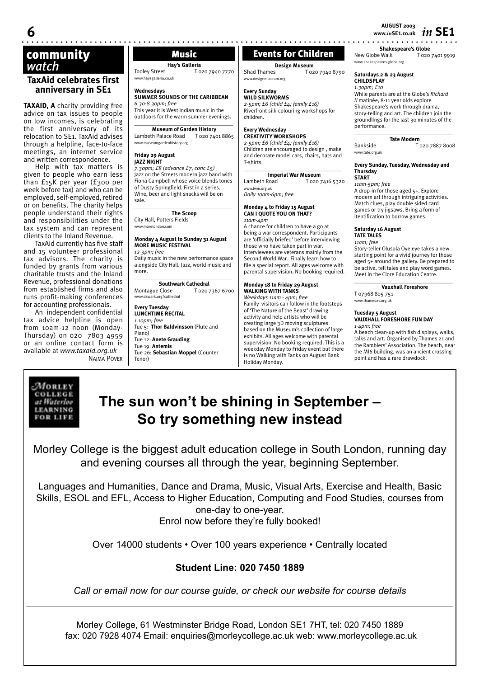# community Music  *watch*

#### **TaxAid celebrates first anniversary in SE1**

**TAXAID, A** charity providing free advice on tax issues to people on low incomes, is celebrating the first anniversary of its relocation to SE1. TaxAid advises through a helpline, face-to-face meetings, an internet service and written correspondence.

Help with tax matters is given to people who earn less than £15K per year (£300 per week before tax) and who can be employed, self-employed, retired or on benefits. The charity helps people understand their rights and responsibilities under the tax system and can represent clients to the Inland Revenue.

TaxAid currently has five staff and 15 volunteer professional tax advisors. The charity is funded by grants from various charitable trusts and the Inland Revenue, professional donations from established firms and also runs profit-making conferences for accounting professionals.

An independent confidential tax advice helpline is open from 10am-12 noon (Monday-Thursday) on 020 7803 4959 or an online contact form is available at *www.taxaid.org.uk* NAJMA POVER

# **Hay's Galleria** Tooley Street T 020 7940 7770 www.haysgalleria.co.uk **Wednesdays**

**SUMMER SOUNDS OF THE CARIBBEAN** *6.30-8.30pm; free* This year it is West Indian music in the outdoors for the warm summer evenings.

 $\overline{\phantom{a}}$  , and the set of the set of the set of the set of the set of the set of the set of the set of the set of the set of the set of the set of the set of the set of the set of the set of the set of the set of the s **Museum of Garden History** Lambeth Palace Road T 020 7401 8865 www.museumgardenhistory.org

### **Friday 29 August**

**JAZZ NIGHT** *7.30pm; £8 (advance £7, conc £5)*  Jazz on the Streets modern jazz band with Fiona Campbell whose voice blends tones of Dusty Springfield. First in a series. Wine, beer and light snacks will be on sale.

\_\_\_\_\_*\_\_\_\_\_\_\_\_\_\_\_\_\_\_\_\_\_\_\_\_\_\_\_\_\_\_\_\_\_\_* **The Scoop** City Hall, Potters Fields www.morelondon.com

#### **Monday 4 August to Sunday 31 August MORE MUSIC FESTIVAL**

*12-3pm; free* Daily music in the new performance space alongside City Hall. Jazz, world music and more.

\_\_\_\_\_*\_\_\_\_\_\_\_\_\_\_\_\_\_\_\_\_\_\_\_\_\_\_\_\_\_\_\_\_\_\_* **Southwark Cathedral** Montague Close T 020 7367 6700 www.dswark.org/cathedral

#### **Every Tuesday**

Tenor)

**LUNCHTIME RECITAL** *1.10pm; free* Tue 5: **Thor Baldvinsson** (Flute and Piano) Tue 12: **Anete Grauding**  Tue 19: **Antemis** 

# Events for Children

#### **Design Museum**

Shad Thames T 020 7940 8790 w.designmuseum.org

#### **Every Sunday WILD SILKWORMS**

*2-5pm; £6 (child £4; family £16)* Riverfront silk-colouring workshops for children.

#### **Every Wednesday**

**CREATIVITY WORKSHOPS** *2-5pm; £6 (child £4; family £16)* Children are encouraged to design , make and decorate model cars, chairs, hats and T-shirts.

 $\overline{\phantom{a}}$  , and the set of the set of the set of the set of the set of the set of the set of the set of the set of the set of the set of the set of the set of the set of the set of the set of the set of the set of the s **Imperial War Museum** Lambeth Road T 020 7416 5320 www.iwm.org.uk *Daily 10am-6pm; free* 

#### **Monday 4 to Friday 15 August CAN I QUOTE YOU ON THAT?** *11am-4pm*

A chance for children to have a go at being a war correspondent. Participants are 'officially briefed' before interviewing those who have taken part in war. Interviewees are veterans mainly from the Second World War. Finally learn how to file a special report. All ages welcome with parental supervision. No booking required.

#### **Monday 18 to Friday 29 August WALKING WITH TANKS**

*Weekdays 11am - 4pm; free*  Family visitors can follow in the footsteps of 'The Nature of the Beast' drawing activity and help artists who will be creating large 3D moving sculptures based on the Museum's collection of large exhibits. All ages welcome with parental supervision. No booking required. This is a weekday Monday to Friday event but there is no Walking with Tanks on August Bank Holiday Monday.

# **AUGUST 2003 6 www.***in***SE1.co.uk** *in* **SE1**

**Shakespeare's Globe**<br>New Globe Walk **Tozo** T 020 7401 9919 www.shakespeares-globe.org

#### **Saturdays 2 & 23 August**

**CHILDSPLAY** *1.30pm; £10* While parents are at the Globe's *Richard II* matinée, 8-11 year olds explore Shakespeare's work through drama, story-telling and art. The children join the groundlings for the last 30 minutes of the

#### $\_$ **Tate Modern**

Bankside T 020 7887 8008 www.tate.org.uk

#### **Every Sunday, Tuesday, Wednesday and Thursday**

**START** *11am-5pm; free*

performance.

A drop-in for those aged 5+. Explore modern art through intriguing activities. Match clues, play double sided card games or try jigsaws. Bring a form of itentification to borrow games.

#### **Saturday 16 August**

**TATE TALES** *11am; free*

Story-teller Olusola Oyeleye takes a new starting point for a vivid journey for those aged 5+ around the gallery. Be prepared to be active, tell tales and play word games. Meet in the Clore Education Centre.

 $\_$ **Vauxhall Foreshore** T 07968 805 751

www.thames21.org.uk

#### **Tuesday 5 August VAUXHALL FORESHORE FUN DAY** *1-4pm; free*

A beach clean-up with fish displays, walks, talks and art. Organised by Thames 21 and the Ramblers' Association. The beach, near the MI6 building, was an ancient crossing point and has a rare drawdock.



# **The sun won't be shining in September – So try something new instead**

Morley College is the biggest adult education college in South London, running day and evening courses all through the year, beginning September.

Languages and Humanities, Dance and Drama, Music, Visual Arts, Exercise and Health, Basic Skills, ESOL and EFL, Access to Higher Education, Computing and Food Studies, courses from one-day to one-year.

Enrol now before they're fully booked!

Over 14000 students • Over 100 years experience • Centrally located

### **Student Line: 020 7450 1889**

*Call or email now for our course guide, or check our website for course details*

Morley College, 61 Westminster Bridge Road, London SE1 7HT, tel: 020 7450 1889 fax: 020 7928 4074 Email: enquiries@morleycollege.ac.uk web: www.morleycollege.ac.uk

Tue 26: **Sebastian Moppel** (Counter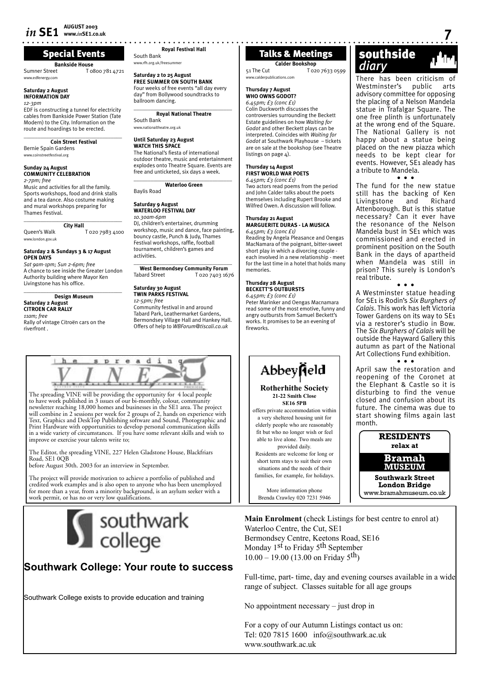# Special Events

**Bankside House**

Sumner Street www.edfenergy.com

#### **Saturday 2 August INFORMATION DAY**

*12-3pm* EDF is constructing a tunnel for electricity cables from Bankside Power Station (Tate Modern) to the City. Information on the route and hoardings to be erected.

\_\_\_\_\_\_\_\_\_\_\_\_\_\_\_\_\_\_\_\_\_\_\_\_\_\_\_\_\_\_\_\_\_\_\_ **Coin Street Festival** Bernie Spain Gardens

www.coinstreetfestival.org

#### **Sunday 24 August COMMUNITY CELEBRATION**

*2-7pm; free*

Music and activities for all the family. Sports workshops, food and drink stalls and a tea dance. Also costume making and mural workshops preparing for Thames Festival.  $\_$ 

**City Hall** Queen's Walk T 020 7983 4100 www.london.gov.uk

#### **Saturday 2 & Sundays 3 & 17 August OPEN DAYS**

*Sat 9am-1pm; Sun 2-6pm; free* A chance to see inside the Greater London Authority building where Mayor Ken Livingstone has his office.

 $\_$ **Design Museum Saturday 2 August CITROEN CAR RALLY** *11am; free* Rally of vintage Citroën cars on the riverfront .

**Royal Festival Hall** South Bank

www.rfh.org.uk/freesumm

#### **Saturday 2 to 25 August FREE SUMMER ON SOUTH BANK**

Four weeks of free events "all day every day" from Bollywood soundtracks to ballroom dancing.

 $\_$ **Royal National Theatre** South Bank www.nationaltheatre.org.uk

#### **Until Saturday 23 August WATCH THIS SPACE**

The National's fiesta of international outdoor theatre, music and entertainment explodes onto Theatre Square. Events are free and unticketed, six days a week.

\_\_\_\_\_\_\_\_\_\_\_\_\_\_\_\_\_\_\_\_\_\_\_\_\_\_\_\_\_\_\_\_\_\_\_

**Waterloo Green** Baylis Road

#### **Saturday 9 August WATERLOO FESTIVAL DAY**

*10.30am-6pm*  DJ, children's entertainer, drumming workshop, music and dance, face painting, bouncy castle, Punch & Judy, Thames Festival workshops, raffle, football tournament, children's games and activities.

 $\_$ **West Bermondsey Community Forum** Tabard Street T 020 7403 1676

#### **Saturday 30 August TWIN PARKS FESTIVAL**

*12-5pm; free* Community festival in and around Tabard Park, Leathermarket Gardens, Bermondsey Village Hall and Hankey Hall. Offers of help to *WBForum@tiscali.co.uk*



The spreading VINE will be providing the opportunity for 4 local people to have work published in 3 issues of our bi-monthly, colour, community newsletter reaching 18,000 homes and businesses in the SE1 area. The project will combine in 2 sessions per week for 2 groups of 2, hands on experience with Text, Graphics and DeskTop Publishing software and Sound, Photographic and Print Hardware with opportunities to develop personal communication skills in a wide variety of circumstances. If you have some relevant skills and wish to improve or exercise your talents write to;

The Editor, the spreading VINE, 227 Helen Gladstone House, Blackfriars Road, SE1 0QB

before August 30th. 2003 for an interview in September.

The project will provide motivation to achieve a portfolio of published and credited work examples and is also open to anyone who has been unemployed for more than a year, from a minority background, is an asylum seeker with a work permit, or has no or very low qualifications.



# **Southwark College: Your route to success**

Southwark College exists to provide education and training

# Talks & Meetings

**Calder Bookshop** 51 The Cut T 020 7633 0599

# www.calderpublications.com

**Thursday 7 August WHO OWNS GODOT?** *6.45pm; £3 (conc £1)* Colin Duckworth discusses the controversies surrounding the Beckett Estate guidelines on how *Waiting for Godot* and other Beckett plays can be interpreted. Coincides with *Waiting for Godot* at Southwark Playhouse – tickets are on sale at the bookshop (see Theatre

#### **Thursday 14 August FIRST WORLD WAR POETS**

listings on page 4).

*6.45pm; £3 (conc £1)* Two actors read poems from the period and John Calder talks about the poets themselves including Rupert Brooke and Wilfred Owen. A discussion will follow.

#### **Thursday 21 August MARGUERITE DURAS - LA MUSICA**

*6.45pm; £3 (conc £1)* Reading by Angela Pleasance and Oengas MacNamara of the poignant, bitter-sweet short play in which a divorcing couple each involved in a new relationship - meet for the last time in a hotel that holds many memories.

#### **Thursday 28 August BECKETT'S OUTBURSTS**

*6.45pm; £3 (conc £1)* Peter Marinker and Oengas Macnamara read some of the most emotive, funny and angry outbursts from Samuel Beckett's works. It promises to be an evening of fireworks.



#### **Rotherhithe Society 21-22 Smith Close**

offers private accommodation within a very sheltered housing unit for elderly people who are reasonably fit but who no longer wish or feel able to live alone. Two meals are provided daily. Residents are welcome for long or short term stays to suit their own situations and the needs of their

More information phone Brenda Crawley 020 7231 5946

# southside Royal Festival Hall **Talks & Meetings South Side** Mark South Bank Calder Bookshop Calder Bookshop Calder Bookshop **diary**

There has been criticism of Westminster's public arts advisory committee for opposing the placing of a Nelson Mandela statue in Trafalgar Square. The one free plinth is unfortunately at the wrong end of the Square. The National Gallery is not happy about a statue being placed on the new piazza which needs to be kept clear for events. However, SE1 aleady has a tribute to Mandela. • • •

The fund for the new statue still has the backing of Ken<br>Livingstone and Richard Livingstone Attenborough. But is this statue necessary? Can it ever have the resonance of the Nelson Mandela bust in SE1 which was commissioned and erected in prominent position on the South Bank in the days of apartheid when Mandela was still in prison? This surely is London's real tribute.

• • • A Westminster statue heading for SE1 is Rodin's *Six Burghers of Calais*. This work has left Victoria Tower Gardens on its way to SE1 via a restorer's studio in Bow. The *Six Burghers of Calais* will be outside the Hayward Gallery this autumn as part of the National Art Collections Fund exhibition. • • •

April saw the restoration and reopening of the Coronet at the Elephant & Castle so it is disturbing to find the venue closed and confusion about its future. The cinema was due to start showing films again last month.



**Main Enrolment** (check Listings for best centre to enrol at) Waterloo Centre, the Cut, SE1

Bermondsey Centre, Keetons Road, SE16 Monday 1<sup>st</sup> to Friday 5<sup>th</sup> September  $10.00 - 19.00$  (13.00 on Friday 5<sup>th</sup>)

Full-time, part- time, day and evening courses available in a wide range of subject. Classes suitable for all age groups

No appointment necessary – just drop in

For a copy of our Autumn Listings contact us on: Tel: 020 7815 1600 info@southwark.ac.uk www.southwark.ac.uk

# **SE16 5PB**

families, for example, for holidays.